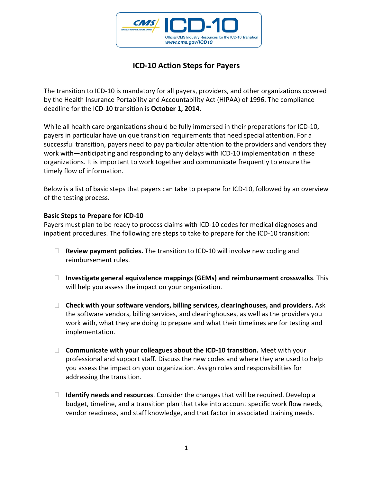

## **ICD‐10 Action Steps for Payers**

The transition to ICD‐10 is mandatory for all payers, providers, and other organizations covered by the Health Insurance Portability and Accountability Act (HIPAA) of 1996. The compliance deadline for the ICD‐10 transition is **October 1, 2014**.

While all health care organizations should be fully immersed in their preparations for ICD-10, payers in particular have unique transition requirements that need special attention. For a successful transition, payers need to pay particular attention to the providers and vendors they work with—anticipating and responding to any delays with ICD-10 implementation in these organizations. It is important to work together and communicate frequently to ensure the timely flow of information.

Below is a list of basic steps that payers can take to prepare for ICD-10, followed by an overview of the testing process.

## **Basic Steps to Prepare for ICD‐10**

Payers must plan to be ready to process claims with ICD‐10 codes for medical diagnoses and inpatient procedures. The following are steps to take to prepare for the ICD‐10 transition:

- **Review payment policies.** The transition to ICD‐10 will involve new coding and reimbursement rules.
- **Investigate general equivalence mappings (GEMs) and reimbursement crosswalks**. This will help you assess the impact on your organization.
- **Check with your software vendors, billing services, clearinghouses, and providers.** Ask the software vendors, billing services, and clearinghouses, as well as the providers you work with, what they are doing to prepare and what their timelines are for testing and implementation.
- **Communicate with your colleagues about the ICD‐10 transition.** Meet with your professional and support staff. Discuss the new codes and where they are used to help you assess the impact on your organization. Assign roles and responsibilities for addressing the transition.
- **Identify needs and resources**. Consider the changes that will be required. Develop a budget, timeline, and a transition plan that take into account specific work flow needs, vendor readiness, and staff knowledge, and that factor in associated training needs.